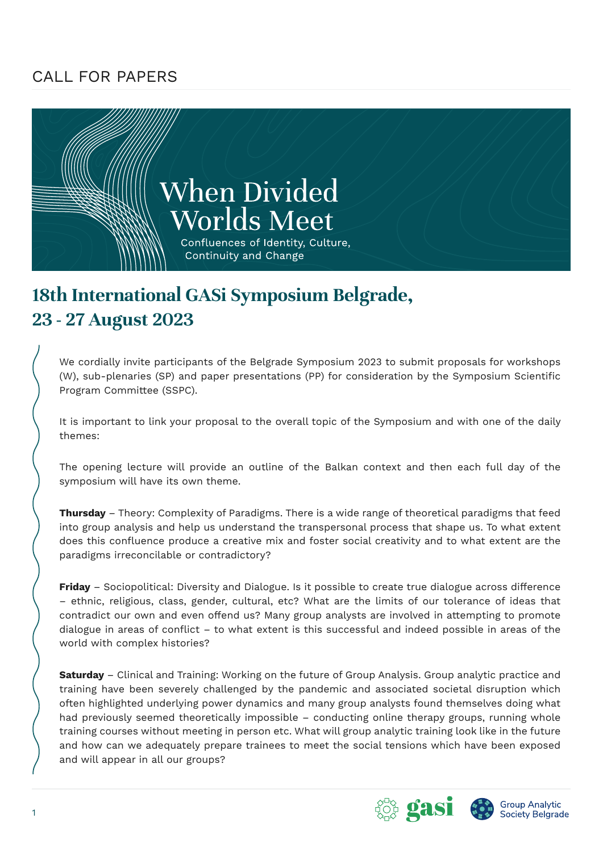## CALL FOR PAPERS



## **18th International GASi Symposium Belgrade, 23 - 27 August 2023**

We cordially invite participants of the Belgrade Symposium 2023 to submit proposals for workshops (W), sub-plenaries (SP) and paper presentations (PP) for consideration by the Symposium Scientific Program Committee (SSPC).

It is important to link your proposal to the overall topic of the Symposium and with one of the daily themes:

The opening lecture will provide an outline of the Balkan context and then each full day of the symposium will have its own theme.

**Thursday** – Theory: Complexity of Paradigms. There is a wide range of theoretical paradigms that feed into group analysis and help us understand the transpersonal process that shape us. To what extent does this confluence produce a creative mix and foster social creativity and to what extent are the paradigms irreconcilable or contradictory?

**Friday** – Sociopolitical: Diversity and Dialogue. Is it possible to create true dialogue across difference – ethnic, religious, class, gender, cultural, etc? What are the limits of our tolerance of ideas that contradict our own and even offend us? Many group analysts are involved in attempting to promote dialogue in areas of conflict – to what extent is this successful and indeed possible in areas of the world with complex histories?

**Saturday** – Clinical and Training: Working on the future of Group Analysis. Group analytic practice and training have been severely challenged by the pandemic and associated societal disruption which often highlighted underlying power dynamics and many group analysts found themselves doing what had previously seemed theoretically impossible – conducting online therapy groups, running whole training courses without meeting in person etc. What will group analytic training look like in the future and how can we adequately prepare trainees to meet the social tensions which have been exposed and will appear in all our groups?